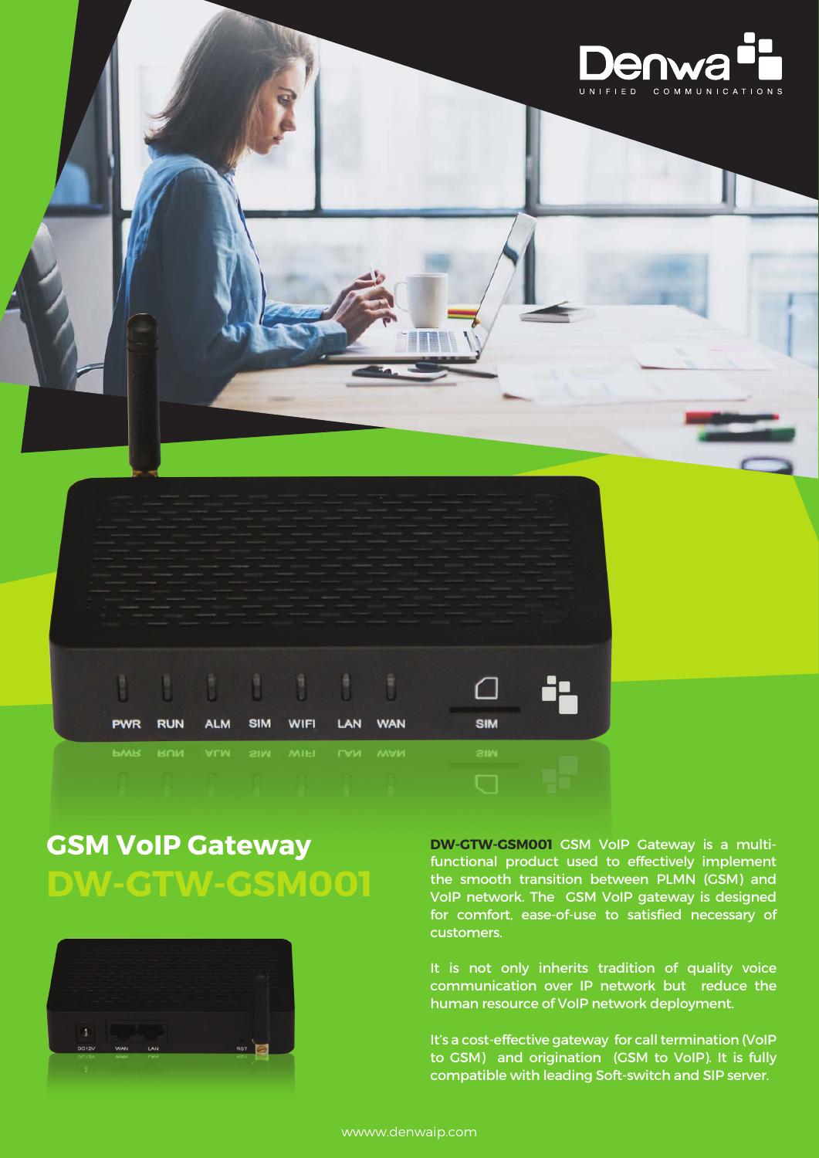

# **GSM VoIP Gateway DW-GTW-GSM001**



**DW-GTW-GSM001** GSM VoIP Gateway is a multifunctional product used to effectively implement the smooth transition between PLMN (GSM) and VoIP network. The GSM VoIP gateway is designed for comfort, ease-of-use to satisfied necessary of customers.

It is not only inherits tradition of quality voice communication over IP network but reduce the human resource of VoIP network deployment.

It's a cost-effective gateway for call termination (VoIP to GSM) and origination (GSM to VoIP). It is fully compatible with leading Soft-switch and SIP server.